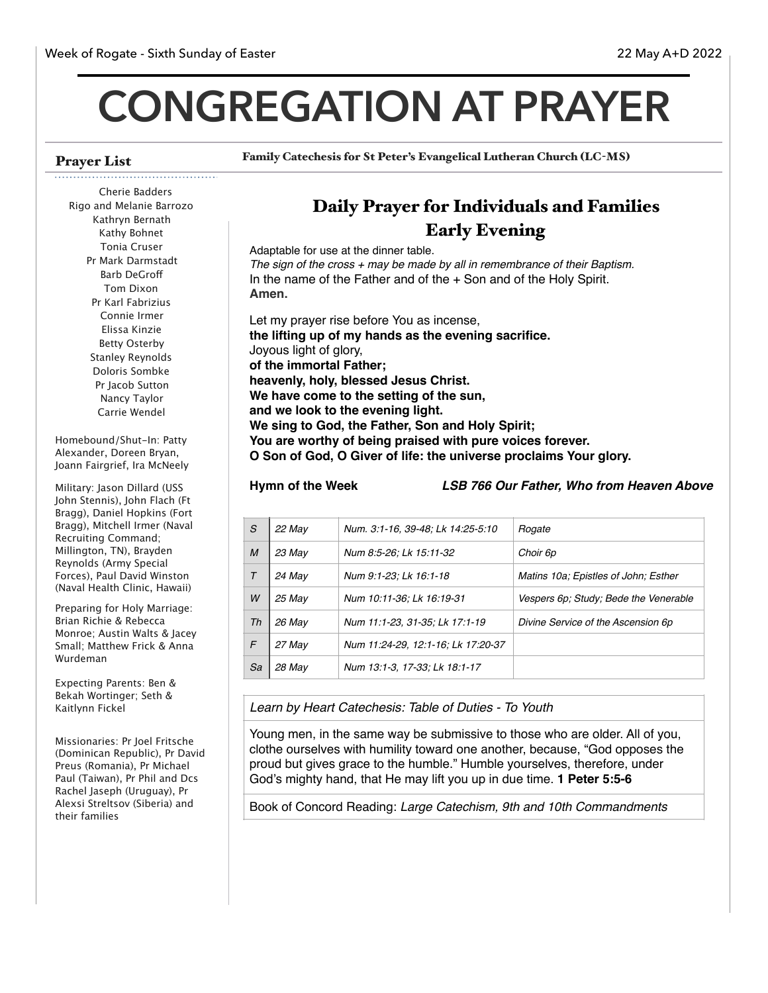# **CONGREGATION AT PRAYER**

# Prayer List

Family Catechesis for St Peter's Evangelical Lutheran Church (LC-MS)

#### Cherie Badders Rigo and Melanie Barrozo Kathryn Bernath Kathy Bohnet Tonia Cruser Pr Mark Darmstadt Barb DeGrof Tom Dixon Pr Karl Fabrizius Connie Irmer Elissa Kinzie Betty Osterby Stanley Reynolds Doloris Sombke Pr Jacob Sutton Nancy Taylor Carrie Wendel

Homebound/Shut-In: Patty Alexander, Doreen Bryan, Joann Fairgrief, Ira McNeely

Military: Jason Dillard (USS John Stennis), John Flach (Ft Bragg), Daniel Hopkins (Fort Bragg), Mitchell Irmer (Naval Recruiting Command; Millington, TN), Brayden Reynolds (Army Special Forces), Paul David Winston (Naval Health Clinic, Hawaii)

Preparing for Holy Marriage: Brian Richie & Rebecca Monroe; Austin Walts & Jacey Small; Matthew Frick & Anna Wurdeman

Expecting Parents: Ben & Bekah Wortinger; Seth & Kaitlynn Fickel

Missionaries: Pr Joel Fritsche (Dominican Republic), Pr David Preus (Romania), Pr Michael Paul (Taiwan), Pr Phil and Dcs Rachel Jaseph (Uruguay), Pr Alexsi Streltsov (Siberia) and their families

# Daily Prayer for Individuals and Families Early Evening

Adaptable for use at the dinner table. *The sign of the cross + may be made by all in remembrance of their Baptism.* In the name of the Father and of the + Son and of the Holy Spirit. **Amen.**

Let my prayer rise before You as incense, **the lifting up of my hands as the evening sacrifice.** Joyous light of glory, **of the immortal Father; heavenly, holy, blessed Jesus Christ. We have come to the setting of the sun, and we look to the evening light. We sing to God, the Father, Son and Holy Spirit; You are worthy of being praised with pure voices forever. O Son of God, O Giver of life: the universe proclaims Your glory.**

**Hymn of the Week** *LSB 766 Our Father, Who from Heaven Above*

| S      | 22 May | Num. 3:1-16, 39-48; Lk 14:25-5:10  | Rogate                                |
|--------|--------|------------------------------------|---------------------------------------|
| M      | 23 May | Num 8:5-26; Lk 15:11-32            | Choir 6p                              |
| $\tau$ | 24 May | Num 9:1-23; Lk 16:1-18             | Matins 10a; Epistles of John; Esther  |
| W      | 25 May | Num 10:11-36; Lk 16:19-31          | Vespers 6p; Study; Bede the Venerable |
| Th     | 26 May | Num 11:1-23, 31-35; Lk 17:1-19     | Divine Service of the Ascension 6p    |
| F      | 27 May | Num 11:24-29, 12:1-16; Lk 17:20-37 |                                       |
| Sa     | 28 May | Num 13:1-3, 17-33; Lk 18:1-17      |                                       |

*Learn by Heart Catechesis: Table of Duties - To Youth* 

Young men, in the same way be submissive to those who are older. All of you, clothe ourselves with humility toward one another, because, "God opposes the proud but gives grace to the humble." Humble yourselves, therefore, under God's mighty hand, that He may lift you up in due time. **1 Peter 5:5-6**

Book of Concord Reading: *Large Catechism, 9th and 10th Commandments*